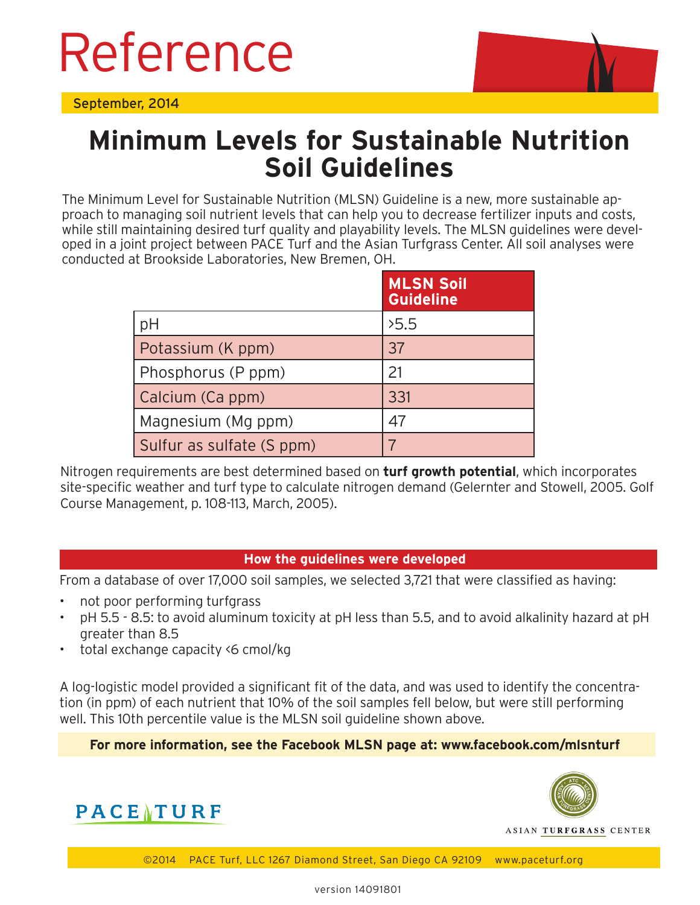# Reference

September, 2014



## **Minimum Levels for Sustainable Nutrition Soil Guidelines**

The Minimum Level for Sustainable Nutrition (MLSN) Guideline is a new, more sustainable approach to managing soil nutrient levels that can help you to decrease fertilizer inputs and costs, while still maintaining desired turf quality and playability levels. The MLSN guidelines were developed in a joint project between PACE Turf and the Asian Turfgrass Center. All soil analyses were conducted at Brookside Laboratories, New Bremen, OH.

|                           | <b>MLSN Soil</b><br><b>Guideline</b> |
|---------------------------|--------------------------------------|
| pH                        | 5.5                                  |
| Potassium (K ppm)         | 37                                   |
| Phosphorus (P ppm)        | 21                                   |
| Calcium (Ca ppm)          | 331                                  |
| Magnesium (Mg ppm)        | 47                                   |
| Sulfur as sulfate (S ppm) |                                      |

Nitrogen requirements are best determined based on **turf growth potential**, which incorporates site-specific weather and turf type to calculate nitrogen demand (Gelernter and Stowell, 2005. Golf Course Management, p. 108-113, March, 2005).

#### **How the guidelines were developed**

From a database of over 17,000 soil samples, we selected 3,721 that were classified as having:

- not poor performing turfgrass
- pH 5.5 8.5: to avoid aluminum toxicity at pH less than 5.5, and to avoid alkalinity hazard at pH greater than 8.5
- total exchange capacity <6 cmol/kg

A log-logistic model provided a significant fit of the data, and was used to identify the concentration (in ppm) of each nutrient that 10% of the soil samples fell below, but were still performing well. This 10th percentile value is the MLSN soil guideline shown above.

#### **For more information, see the Facebook MLSN page at: www.facebook.com/mlsnturf**





ASIAN TURFGRASS CENTER